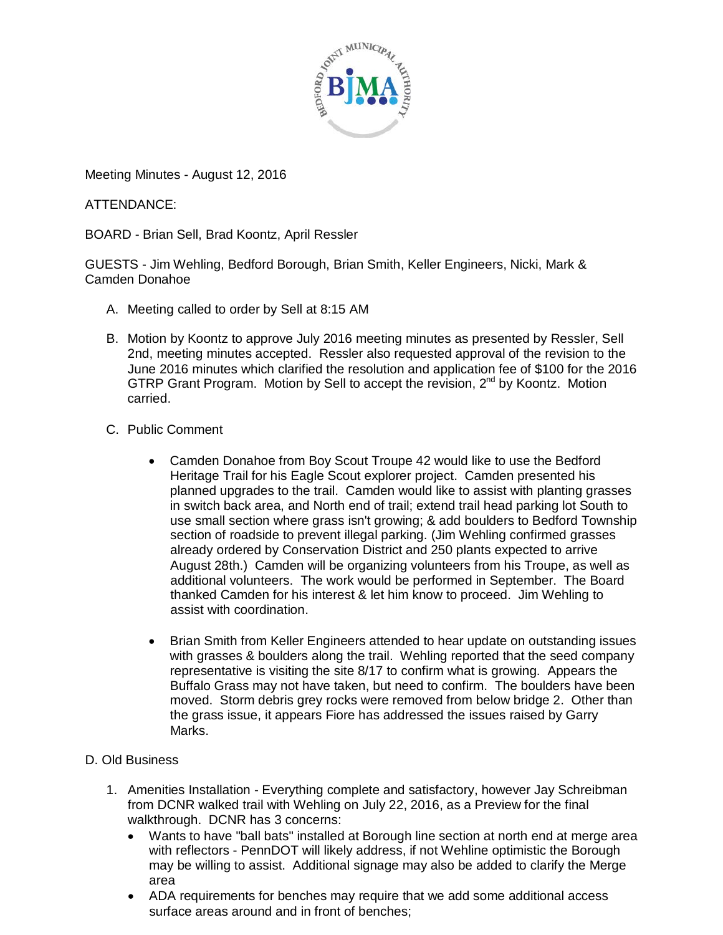

Meeting Minutes - August 12, 2016

ATTENDANCE:

BOARD - Brian Sell, Brad Koontz, April Ressler

GUESTS - Jim Wehling, Bedford Borough, Brian Smith, Keller Engineers, Nicki, Mark & Camden Donahoe

- A. Meeting called to order by Sell at 8:15 AM
- B. Motion by Koontz to approve July 2016 meeting minutes as presented by Ressler, Sell 2nd, meeting minutes accepted. Ressler also requested approval of the revision to the June 2016 minutes which clarified the resolution and application fee of \$100 for the 2016 GTRP Grant Program. Motion by Sell to accept the revision, 2<sup>nd</sup> by Koontz. Motion carried.
- C. Public Comment
	- Camden Donahoe from Boy Scout Troupe 42 would like to use the Bedford Heritage Trail for his Eagle Scout explorer project. Camden presented his planned upgrades to the trail. Camden would like to assist with planting grasses in switch back area, and North end of trail; extend trail head parking lot South to use small section where grass isn't growing; & add boulders to Bedford Township section of roadside to prevent illegal parking. (Jim Wehling confirmed grasses already ordered by Conservation District and 250 plants expected to arrive August 28th.) Camden will be organizing volunteers from his Troupe, as well as additional volunteers. The work would be performed in September. The Board thanked Camden for his interest & let him know to proceed. Jim Wehling to assist with coordination.
	- Brian Smith from Keller Engineers attended to hear update on outstanding issues with grasses & boulders along the trail. Wehling reported that the seed company representative is visiting the site 8/17 to confirm what is growing. Appears the Buffalo Grass may not have taken, but need to confirm. The boulders have been moved. Storm debris grey rocks were removed from below bridge 2. Other than the grass issue, it appears Fiore has addressed the issues raised by Garry Marks.
- D. Old Business
	- 1. Amenities Installation Everything complete and satisfactory, however Jay Schreibman from DCNR walked trail with Wehling on July 22, 2016, as a Preview for the final walkthrough. DCNR has 3 concerns:
		- Wants to have "ball bats" installed at Borough line section at north end at merge area with reflectors - PennDOT will likely address, if not Wehline optimistic the Borough may be willing to assist. Additional signage may also be added to clarify the Merge area
		- ADA requirements for benches may require that we add some additional access surface areas around and in front of benches;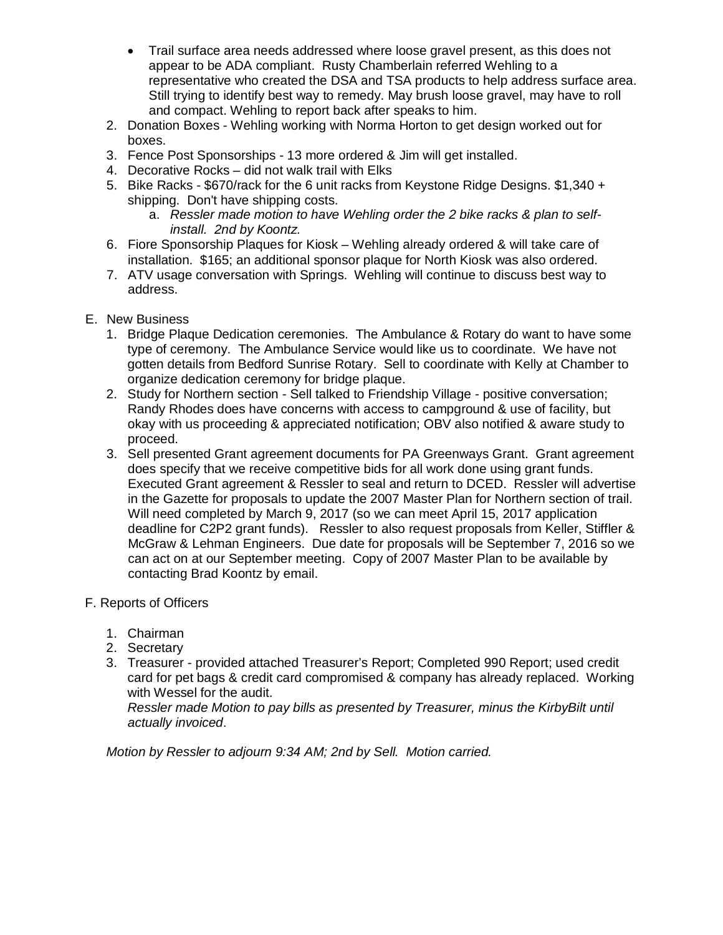- Trail surface area needs addressed where loose gravel present, as this does not appear to be ADA compliant. Rusty Chamberlain referred Wehling to a representative who created the DSA and TSA products to help address surface area. Still trying to identify best way to remedy. May brush loose gravel, may have to roll and compact. Wehling to report back after speaks to him.
- 2. Donation Boxes Wehling working with Norma Horton to get design worked out for boxes.
- 3. Fence Post Sponsorships 13 more ordered & Jim will get installed.
- 4. Decorative Rocks did not walk trail with Elks
- 5. Bike Racks \$670/rack for the 6 unit racks from Keystone Ridge Designs. \$1,340 + shipping. Don't have shipping costs.
	- a. *Ressler made motion to have Wehling order the 2 bike racks & plan to selfinstall. 2nd by Koontz.*
- 6. Fiore Sponsorship Plaques for Kiosk Wehling already ordered & will take care of installation. \$165; an additional sponsor plaque for North Kiosk was also ordered.
- 7. ATV usage conversation with Springs. Wehling will continue to discuss best way to address.
- E. New Business
	- 1. Bridge Plaque Dedication ceremonies. The Ambulance & Rotary do want to have some type of ceremony. The Ambulance Service would like us to coordinate. We have not gotten details from Bedford Sunrise Rotary. Sell to coordinate with Kelly at Chamber to organize dedication ceremony for bridge plaque.
	- 2. Study for Northern section Sell talked to Friendship Village positive conversation; Randy Rhodes does have concerns with access to campground & use of facility, but okay with us proceeding & appreciated notification; OBV also notified & aware study to proceed.
	- 3. Sell presented Grant agreement documents for PA Greenways Grant. Grant agreement does specify that we receive competitive bids for all work done using grant funds. Executed Grant agreement & Ressler to seal and return to DCED. Ressler will advertise in the Gazette for proposals to update the 2007 Master Plan for Northern section of trail. Will need completed by March 9, 2017 (so we can meet April 15, 2017 application deadline for C2P2 grant funds). Ressler to also request proposals from Keller, Stiffler & McGraw & Lehman Engineers. Due date for proposals will be September 7, 2016 so we can act on at our September meeting. Copy of 2007 Master Plan to be available by contacting Brad Koontz by email.

## F. Reports of Officers

- 1. Chairman
- 2. Secretary
- 3. Treasurer provided attached Treasurer's Report; Completed 990 Report; used credit card for pet bags & credit card compromised & company has already replaced. Working with Wessel for the audit.

*Ressler made Motion to pay bills as presented by Treasurer, minus the KirbyBilt until actually invoiced*.

*Motion by Ressler to adjourn 9:34 AM; 2nd by Sell. Motion carried.*